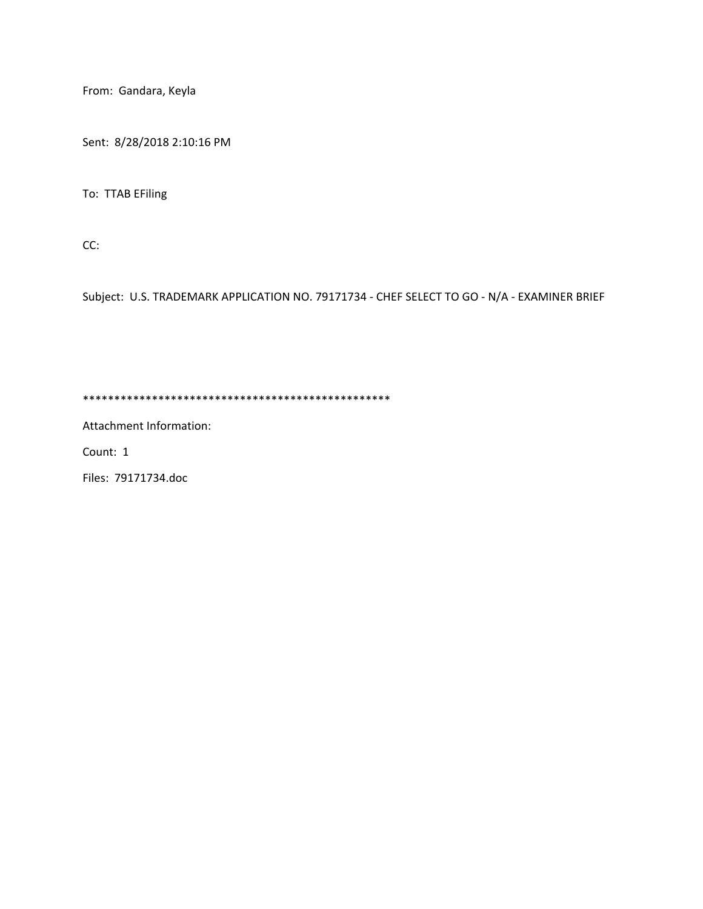From: Gandara, Keyla

Sent: 8/28/2018 2:10:16 PM

To: TTAB EFiling

CC:

Subject: U.S. TRADEMARK APPLICATION NO. 79171734 - CHEF SELECT TO GO - N/A - EXAMINER BRIEF

\*\*\*\*\*\*\*\*\*\*\*\*\*\*\*\*\*\*\*\*\*\*\*\*\*\*\*\*\*\*\*\*\*\*\*\*\*\*\*\*\*\*\*\*\*\*\*\*\*

Attachment Information:

Count: 1

Files: 79171734.doc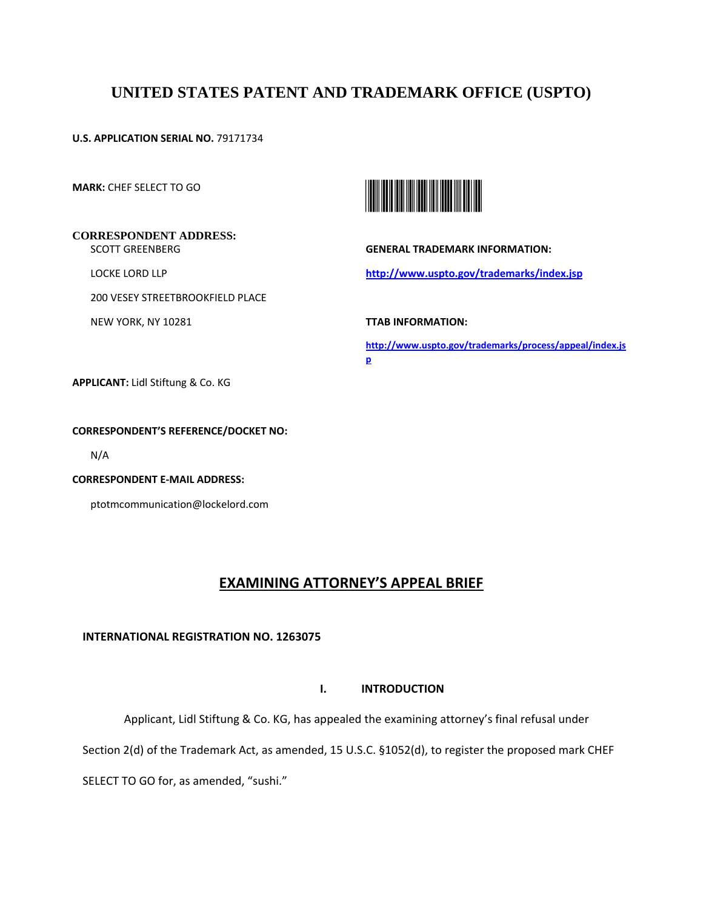# **UNITED STATES PATENT AND TRADEMARK OFFICE (USPTO)**

**U.S. APPLICATION SERIAL NO.** 79171734

**MARK:** CHEF SELECT TO GO

## **CORRESPONDENT ADDRESS:** SCOTT GREENBERG

LOCKE LORD LLP

200 VESEY STREETBROOKFIELD PLACE

NEW YORK, NY 10281



**GENERAL TRADEMARK INFORMATION:** 

**http://www.uspto.gov/trademarks/index.jsp** 

**TTAB INFORMATION:** 

**http://www.uspto.gov/trademarks/process/appeal/index.js p** 

**APPLICANT:** Lidl Stiftung & Co. KG

## **CORRESPONDENT'S REFERENCE/DOCKET NO:**

N/A

**CORRESPONDENT E-MAIL ADDRESS:**

ptotmcommunication@lockelord.com

## **EXAMINING ATTORNEY'S APPEAL BRIEF**

## **INTERNATIONAL REGISTRATION NO. 1263075**

## **I. INTRODUCTION**

Applicant, Lidl Stiftung & Co. KG, has appealed the examining attorney's final refusal under

Section 2(d) of the Trademark Act, as amended, 15 U.S.C. §1052(d), to register the proposed mark CHEF

SELECT TO GO for, as amended, "sushi."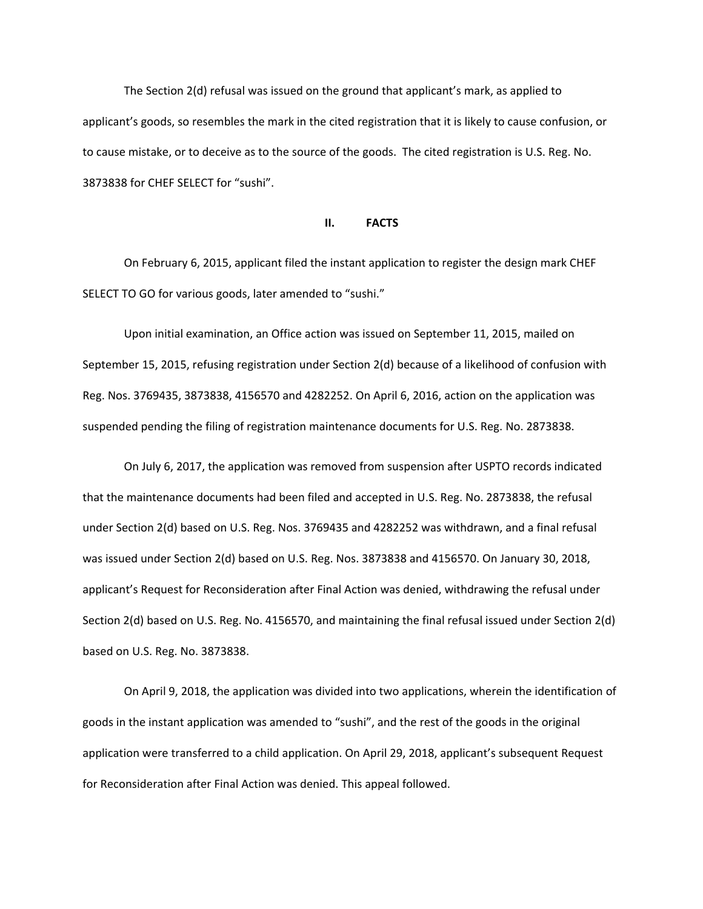The Section 2(d) refusal was issued on the ground that applicant's mark, as applied to applicant's goods, so resembles the mark in the cited registration that it is likely to cause confusion, or to cause mistake, or to deceive as to the source of the goods. The cited registration is U.S. Reg. No. 3873838 for CHEF SELECT for "sushi".

#### **II. FACTS**

 On February 6, 2015, applicant filed the instant application to register the design mark CHEF SELECT TO GO for various goods, later amended to "sushi."

 Upon initial examination, an Office action was issued on September 11, 2015, mailed on September 15, 2015, refusing registration under Section 2(d) because of a likelihood of confusion with Reg. Nos. 3769435, 3873838, 4156570 and 4282252. On April 6, 2016, action on the application was suspended pending the filing of registration maintenance documents for U.S. Reg. No. 2873838.

 On July 6, 2017, the application was removed from suspension after USPTO records indicated that the maintenance documents had been filed and accepted in U.S. Reg. No. 2873838, the refusal under Section 2(d) based on U.S. Reg. Nos. 3769435 and 4282252 was withdrawn, and a final refusal was issued under Section 2(d) based on U.S. Reg. Nos. 3873838 and 4156570. On January 30, 2018, applicant's Request for Reconsideration after Final Action was denied, withdrawing the refusal under Section 2(d) based on U.S. Reg. No. 4156570, and maintaining the final refusal issued under Section 2(d) based on U.S. Reg. No. 3873838.

 On April 9, 2018, the application was divided into two applications, wherein the identification of goods in the instant application was amended to "sushi", and the rest of the goods in the original application were transferred to a child application. On April 29, 2018, applicant's subsequent Request for Reconsideration after Final Action was denied. This appeal followed.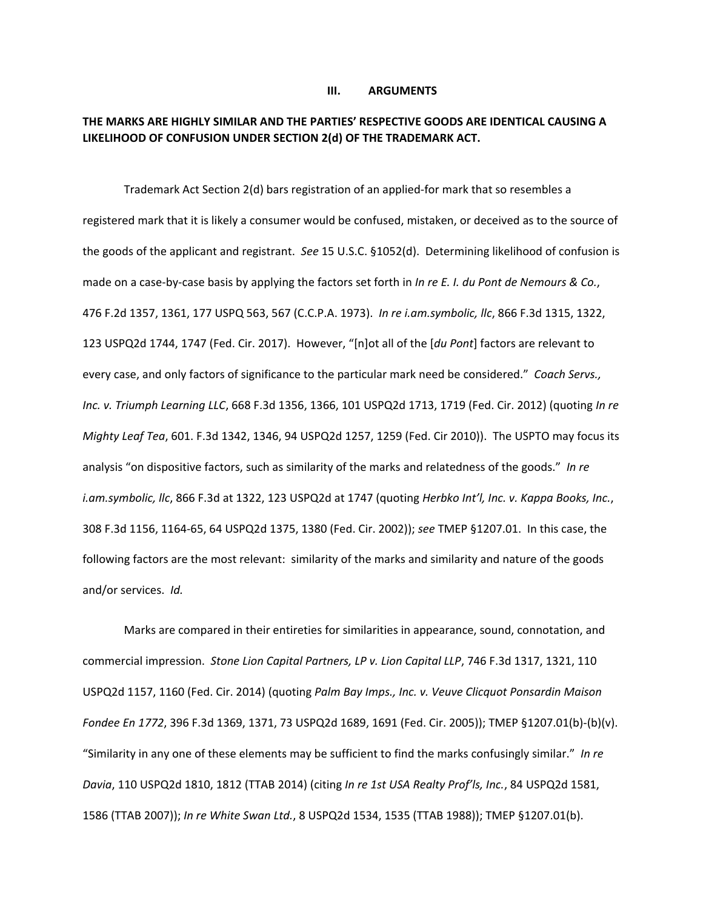#### **III. ARGUMENTS**

## **THE MARKS ARE HIGHLY SIMILAR AND THE PARTIES' RESPECTIVE GOODS ARE IDENTICAL CAUSING A LIKELIHOOD OF CONFUSION UNDER SECTION 2(d) OF THE TRADEMARK ACT.**

 Trademark Act Section 2(d) bars registration of an applied-for mark that so resembles a registered mark that it is likely a consumer would be confused, mistaken, or deceived as to the source of the goods of the applicant and registrant. *See* 15 U.S.C. §1052(d). Determining likelihood of confusion is made on a case-by-case basis by applying the factors set forth in *In re E. I. du Pont de Nemours & Co.*, 476 F.2d 1357, 1361, 177 USPQ 563, 567 (C.C.P.A. 1973). *In re i.am.symbolic, llc*, 866 F.3d 1315, 1322, 123 USPQ2d 1744, 1747 (Fed. Cir. 2017). However, "[n]ot all of the [*du Pont*] factors are relevant to every case, and only factors of significance to the particular mark need be considered." *Coach Servs., Inc. v. Triumph Learning LLC*, 668 F.3d 1356, 1366, 101 USPQ2d 1713, 1719 (Fed. Cir. 2012) (quoting *In re Mighty Leaf Tea*, 601. F.3d 1342, 1346, 94 USPQ2d 1257, 1259 (Fed. Cir 2010)). The USPTO may focus its analysis "on dispositive factors, such as similarity of the marks and relatedness of the goods." *In re i.am.symbolic, llc*, 866 F.3d at 1322, 123 USPQ2d at 1747 (quoting *Herbko Int'l, Inc. v. Kappa Books, Inc.*, 308 F.3d 1156, 1164-65, 64 USPQ2d 1375, 1380 (Fed. Cir. 2002)); *see* TMEP §1207.01. In this case, the following factors are the most relevant: similarity of the marks and similarity and nature of the goods and/or services. *Id.*

 Marks are compared in their entireties for similarities in appearance, sound, connotation, and commercial impression. *Stone Lion Capital Partners, LP v. Lion Capital LLP*, 746 F.3d 1317, 1321, 110 USPQ2d 1157, 1160 (Fed. Cir. 2014) (quoting *Palm Bay Imps., Inc. v. Veuve Clicquot Ponsardin Maison Fondee En 1772*, 396 F.3d 1369, 1371, 73 USPQ2d 1689, 1691 (Fed. Cir. 2005)); TMEP §1207.01(b)-(b)(v). "Similarity in any one of these elements may be sufficient to find the marks confusingly similar." *In re Davia*, 110 USPQ2d 1810, 1812 (TTAB 2014) (citing *In re 1st USA Realty Prof'ls, Inc.*, 84 USPQ2d 1581, 1586 (TTAB 2007)); *In re White Swan Ltd.*, 8 USPQ2d 1534, 1535 (TTAB 1988)); TMEP §1207.01(b).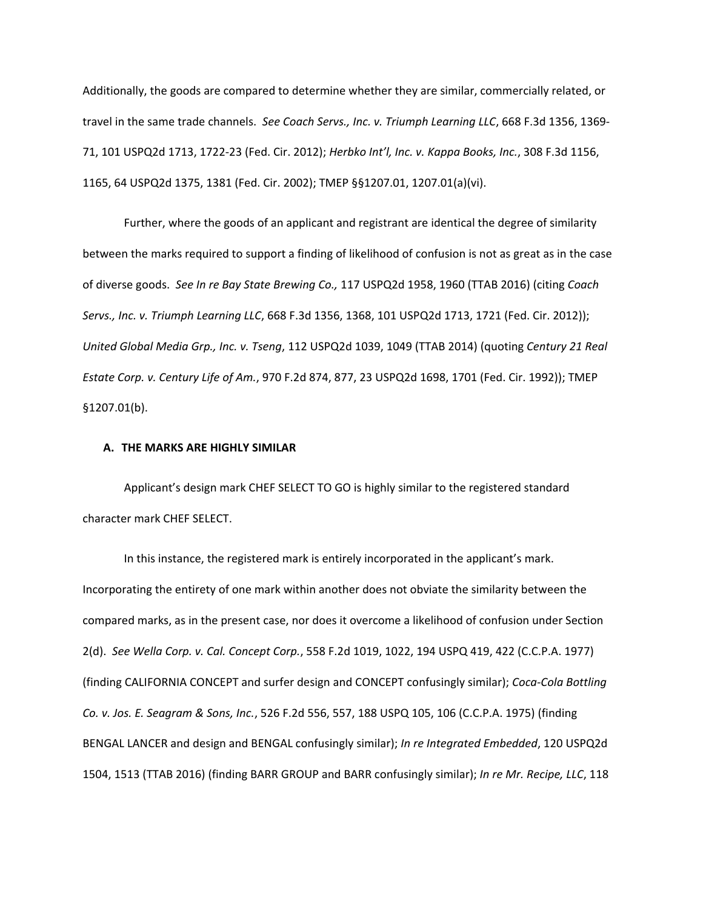Additionally, the goods are compared to determine whether they are similar, commercially related, or travel in the same trade channels. *See Coach Servs., Inc. v. Triumph Learning LLC*, 668 F.3d 1356, 1369- 71, 101 USPQ2d 1713, 1722-23 (Fed. Cir. 2012); *Herbko Int'l, Inc. v. Kappa Books, Inc.*, 308 F.3d 1156, 1165, 64 USPQ2d 1375, 1381 (Fed. Cir. 2002); TMEP §§1207.01, 1207.01(a)(vi).

Further, where the goods of an applicant and registrant are identical the degree of similarity between the marks required to support a finding of likelihood of confusion is not as great as in the case of diverse goods. *See In re Bay State Brewing Co.,* 117 USPQ2d 1958, 1960 (TTAB 2016) (citing *Coach Servs., Inc. v. Triumph Learning LLC*, 668 F.3d 1356, 1368, 101 USPQ2d 1713, 1721 (Fed. Cir. 2012)); *United Global Media Grp., Inc. v. Tseng*, 112 USPQ2d 1039, 1049 (TTAB 2014) (quoting *Century 21 Real Estate Corp. v. Century Life of Am.*, 970 F.2d 874, 877, 23 USPQ2d 1698, 1701 (Fed. Cir. 1992)); TMEP §1207.01(b).

#### **A. THE MARKS ARE HIGHLY SIMILAR**

 Applicant's design mark CHEF SELECT TO GO is highly similar to the registered standard character mark CHEF SELECT.

In this instance, the registered mark is entirely incorporated in the applicant's mark. Incorporating the entirety of one mark within another does not obviate the similarity between the compared marks, as in the present case, nor does it overcome a likelihood of confusion under Section 2(d). *See Wella Corp. v. Cal. Concept Corp.*, 558 F.2d 1019, 1022, 194 USPQ 419, 422 (C.C.P.A. 1977) (finding CALIFORNIA CONCEPT and surfer design and CONCEPT confusingly similar); *Coca-Cola Bottling Co. v. Jos. E. Seagram & Sons, Inc.*, 526 F.2d 556, 557, 188 USPQ 105, 106 (C.C.P.A. 1975) (finding BENGAL LANCER and design and BENGAL confusingly similar); *In re Integrated Embedded*, 120 USPQ2d 1504, 1513 (TTAB 2016) (finding BARR GROUP and BARR confusingly similar); *In re Mr. Recipe, LLC*, 118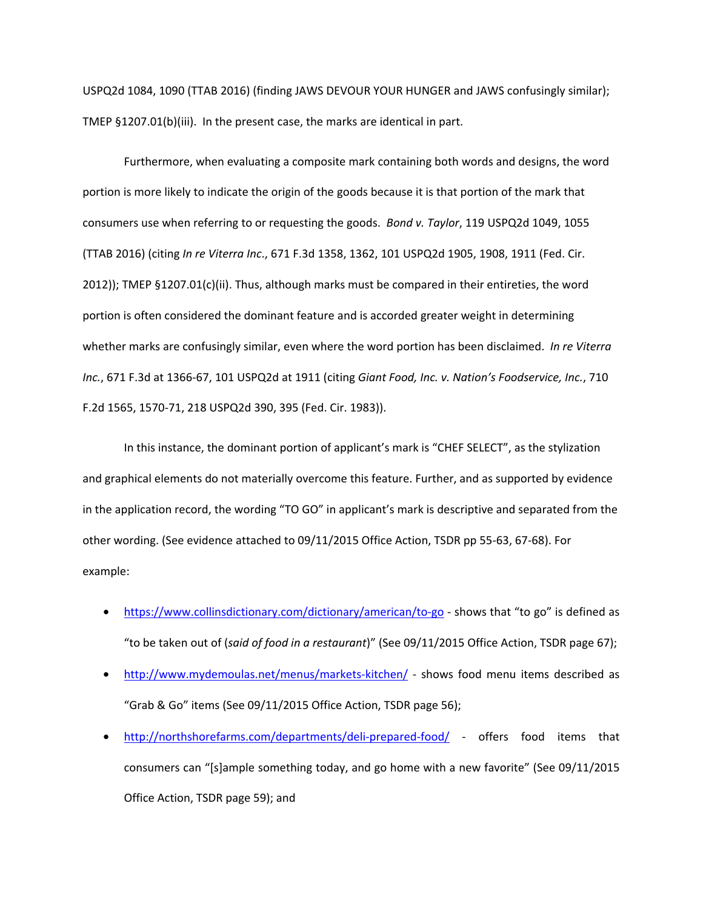USPQ2d 1084, 1090 (TTAB 2016) (finding JAWS DEVOUR YOUR HUNGER and JAWS confusingly similar); TMEP §1207.01(b)(iii). In the present case, the marks are identical in part.

Furthermore, when evaluating a composite mark containing both words and designs, the word portion is more likely to indicate the origin of the goods because it is that portion of the mark that consumers use when referring to or requesting the goods. *Bond v. Taylor*, 119 USPQ2d 1049, 1055 (TTAB 2016) (citing *In re Viterra Inc*., 671 F.3d 1358, 1362, 101 USPQ2d 1905, 1908, 1911 (Fed. Cir. 2012)); TMEP §1207.01(c)(ii). Thus, although marks must be compared in their entireties, the word portion is often considered the dominant feature and is accorded greater weight in determining whether marks are confusingly similar, even where the word portion has been disclaimed. *In re Viterra Inc.*, 671 F.3d at 1366-67, 101 USPQ2d at 1911 (citing *Giant Food, Inc. v. Nation's Foodservice, Inc.*, 710 F.2d 1565, 1570-71, 218 USPQ2d 390, 395 (Fed. Cir. 1983)).

In this instance, the dominant portion of applicant's mark is "CHEF SELECT", as the stylization and graphical elements do not materially overcome this feature. Further, and as supported by evidence in the application record, the wording "TO GO" in applicant's mark is descriptive and separated from the other wording. (See evidence attached to 09/11/2015 Office Action, TSDR pp 55-63, 67-68). For example:

- https://www.collinsdictionary.com/dictionary/american/to-go shows that "to go" is defined as "to be taken out of (*said of food in a restaurant*)" (See 09/11/2015 Office Action, TSDR page 67);
- http://www.mydemoulas.net/menus/markets-kitchen/ shows food menu items described as "Grab & Go" items (See 09/11/2015 Office Action, TSDR page 56);
- http://northshorefarms.com/departments/deli-prepared-food/ offers food items that consumers can "[s]ample something today, and go home with a new favorite" (See 09/11/2015 Office Action, TSDR page 59); and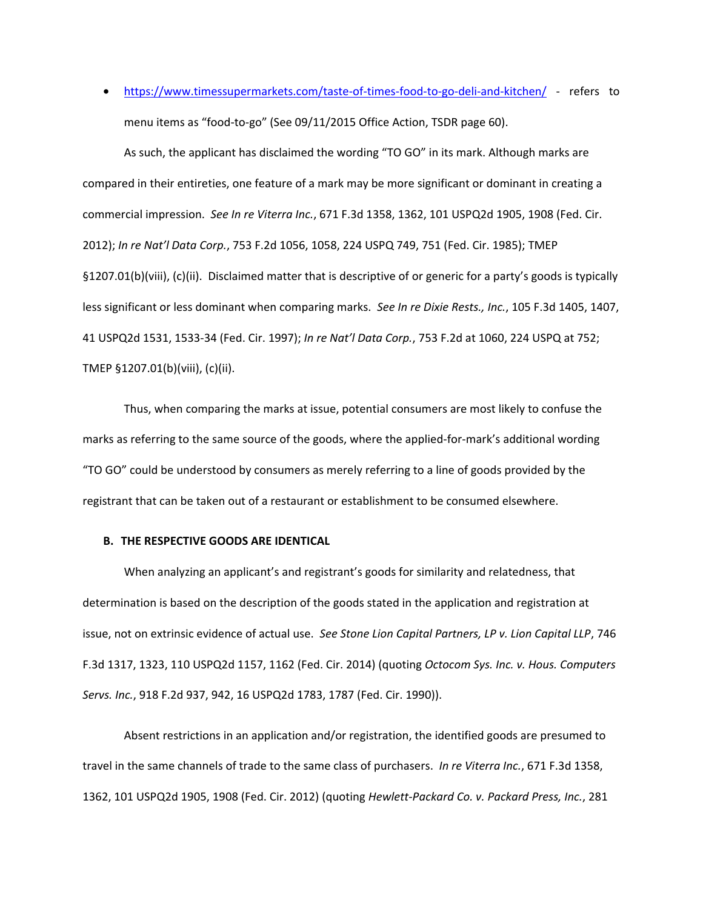• https://www.timessupermarkets.com/taste-of-times-food-to-go-deli-and-kitchen/ - refers to menu items as "food-to-go" (See 09/11/2015 Office Action, TSDR page 60).

As such, the applicant has disclaimed the wording "TO GO" in its mark. Although marks are compared in their entireties, one feature of a mark may be more significant or dominant in creating a commercial impression. *See In re Viterra Inc.*, 671 F.3d 1358, 1362, 101 USPQ2d 1905, 1908 (Fed. Cir. 2012); *In re Nat'l Data Corp.*, 753 F.2d 1056, 1058, 224 USPQ 749, 751 (Fed. Cir. 1985); TMEP §1207.01(b)(viii), (c)(ii). Disclaimed matter that is descriptive of or generic for a party's goods is typically less significant or less dominant when comparing marks. *See In re Dixie Rests., Inc.*, 105 F.3d 1405, 1407, 41 USPQ2d 1531, 1533-34 (Fed. Cir. 1997); *In re Nat'l Data Corp.*, 753 F.2d at 1060, 224 USPQ at 752; TMEP §1207.01(b)(viii), (c)(ii).

 Thus, when comparing the marks at issue, potential consumers are most likely to confuse the marks as referring to the same source of the goods, where the applied-for-mark's additional wording "TO GO" could be understood by consumers as merely referring to a line of goods provided by the registrant that can be taken out of a restaurant or establishment to be consumed elsewhere.

## **B. THE RESPECTIVE GOODS ARE IDENTICAL**

When analyzing an applicant's and registrant's goods for similarity and relatedness, that determination is based on the description of the goods stated in the application and registration at issue, not on extrinsic evidence of actual use. *See Stone Lion Capital Partners, LP v. Lion Capital LLP*, 746 F.3d 1317, 1323, 110 USPQ2d 1157, 1162 (Fed. Cir. 2014) (quoting *Octocom Sys. Inc. v. Hous. Computers Servs. Inc.*, 918 F.2d 937, 942, 16 USPQ2d 1783, 1787 (Fed. Cir. 1990)).

Absent restrictions in an application and/or registration, the identified goods are presumed to travel in the same channels of trade to the same class of purchasers. *In re Viterra Inc.*, 671 F.3d 1358, 1362, 101 USPQ2d 1905, 1908 (Fed. Cir. 2012) (quoting *Hewlett-Packard Co. v. Packard Press, Inc.*, 281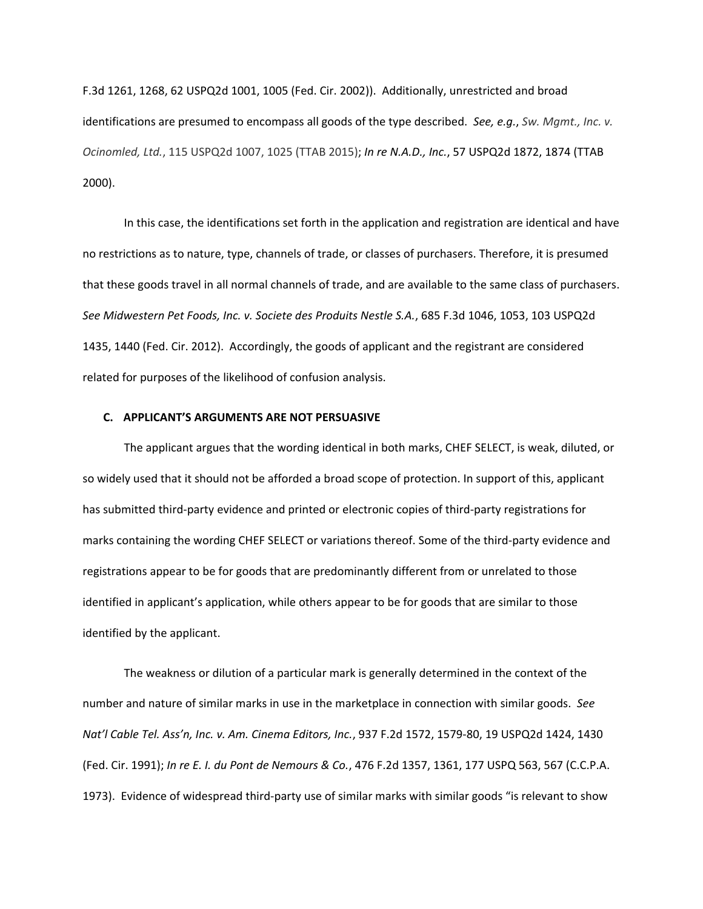F.3d 1261, 1268, 62 USPQ2d 1001, 1005 (Fed. Cir. 2002)). Additionally, unrestricted and broad identifications are presumed to encompass all goods of the type described. *See, e.g.*, *Sw. Mgmt., Inc. v. Ocinomled, Ltd.*, 115 USPQ2d 1007, 1025 (TTAB 2015); *In re N.A.D., Inc.*, 57 USPQ2d 1872, 1874 (TTAB 2000).

In this case, the identifications set forth in the application and registration are identical and have no restrictions as to nature, type, channels of trade, or classes of purchasers. Therefore, it is presumed that these goods travel in all normal channels of trade, and are available to the same class of purchasers. *See Midwestern Pet Foods, Inc. v. Societe des Produits Nestle S.A.*, 685 F.3d 1046, 1053, 103 USPQ2d 1435, 1440 (Fed. Cir. 2012). Accordingly, the goods of applicant and the registrant are considered related for purposes of the likelihood of confusion analysis.

## **C. APPLICANT'S ARGUMENTS ARE NOT PERSUASIVE**

The applicant argues that the wording identical in both marks, CHEF SELECT, is weak, diluted, or so widely used that it should not be afforded a broad scope of protection. In support of this, applicant has submitted third-party evidence and printed or electronic copies of third-party registrations for marks containing the wording CHEF SELECT or variations thereof. Some of the third-party evidence and registrations appear to be for goods that are predominantly different from or unrelated to those identified in applicant's application, while others appear to be for goods that are similar to those identified by the applicant.

The weakness or dilution of a particular mark is generally determined in the context of the number and nature of similar marks in use in the marketplace in connection with similar goods. *See Nat'l Cable Tel. Ass'n, Inc. v. Am. Cinema Editors, Inc.*, 937 F.2d 1572, 1579-80, 19 USPQ2d 1424, 1430 (Fed. Cir. 1991); *In re E. I. du Pont de Nemours & Co.*, 476 F.2d 1357, 1361, 177 USPQ 563, 567 (C.C.P.A. 1973). Evidence of widespread third-party use of similar marks with similar goods "is relevant to show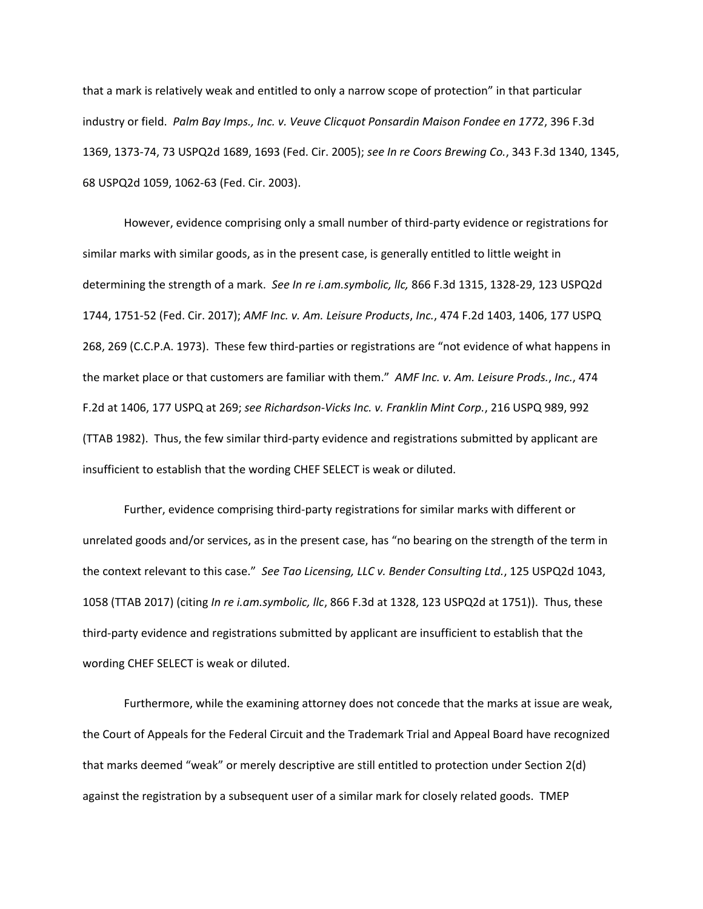that a mark is relatively weak and entitled to only a narrow scope of protection" in that particular industry or field. *Palm Bay Imps., Inc. v. Veuve Clicquot Ponsardin Maison Fondee en 1772*, 396 F.3d 1369, 1373-74, 73 USPQ2d 1689, 1693 (Fed. Cir. 2005); *see In re Coors Brewing Co.*, 343 F.3d 1340, 1345, 68 USPQ2d 1059, 1062-63 (Fed. Cir. 2003).

However, evidence comprising only a small number of third-party evidence or registrations for similar marks with similar goods, as in the present case, is generally entitled to little weight in determining the strength of a mark. *See In re i.am.symbolic, llc,* 866 F.3d 1315, 1328-29, 123 USPQ2d 1744, 1751-52 (Fed. Cir. 2017); *AMF Inc. v. Am. Leisure Products*, *Inc.*, 474 F.2d 1403, 1406, 177 USPQ 268, 269 (C.C.P.A. 1973). These few third-parties or registrations are "not evidence of what happens in the market place or that customers are familiar with them." *AMF Inc. v. Am. Leisure Prods.*, *Inc.*, 474 F.2d at 1406, 177 USPQ at 269; *see Richardson-Vicks Inc. v. Franklin Mint Corp.*, 216 USPQ 989, 992 (TTAB 1982). Thus, the few similar third-party evidence and registrations submitted by applicant are insufficient to establish that the wording CHEF SELECT is weak or diluted.

Further, evidence comprising third-party registrations for similar marks with different or unrelated goods and/or services, as in the present case, has "no bearing on the strength of the term in the context relevant to this case." *See Tao Licensing, LLC v. Bender Consulting Ltd.*, 125 USPQ2d 1043, 1058 (TTAB 2017) (citing *In re i.am.symbolic, llc*, 866 F.3d at 1328, 123 USPQ2d at 1751)). Thus, these third-party evidence and registrations submitted by applicant are insufficient to establish that the wording CHEF SELECT is weak or diluted.

 Furthermore, while the examining attorney does not concede that the marks at issue are weak, the Court of Appeals for the Federal Circuit and the Trademark Trial and Appeal Board have recognized that marks deemed "weak" or merely descriptive are still entitled to protection under Section 2(d) against the registration by a subsequent user of a similar mark for closely related goods. TMEP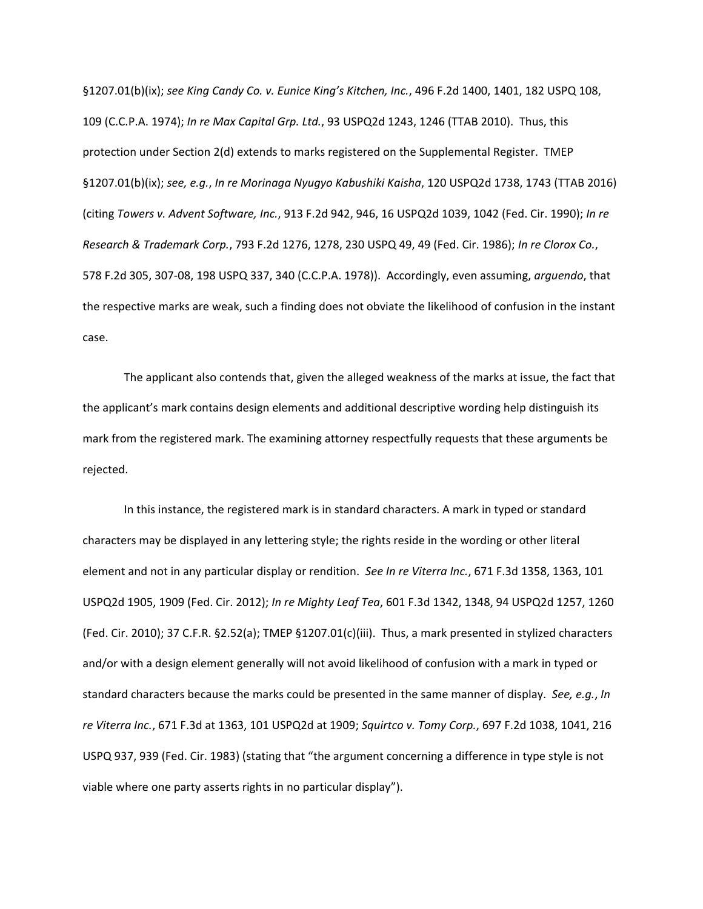§1207.01(b)(ix); *see King Candy Co. v. Eunice King's Kitchen, Inc.*, 496 F.2d 1400, 1401, 182 USPQ 108, 109 (C.C.P.A. 1974); *In re Max Capital Grp. Ltd.*, 93 USPQ2d 1243, 1246 (TTAB 2010). Thus, this protection under Section 2(d) extends to marks registered on the Supplemental Register. TMEP §1207.01(b)(ix); *see, e.g.*, *In re Morinaga Nyugyo Kabushiki Kaisha*, 120 USPQ2d 1738, 1743 (TTAB 2016) (citing *Towers v. Advent Software, Inc.*, 913 F.2d 942, 946, 16 USPQ2d 1039, 1042 (Fed. Cir. 1990); *In re Research & Trademark Corp.*, 793 F.2d 1276, 1278, 230 USPQ 49, 49 (Fed. Cir. 1986); *In re Clorox Co.*, 578 F.2d 305, 307-08, 198 USPQ 337, 340 (C.C.P.A. 1978)). Accordingly, even assuming, *arguendo*, that the respective marks are weak, such a finding does not obviate the likelihood of confusion in the instant case.

The applicant also contends that, given the alleged weakness of the marks at issue, the fact that the applicant's mark contains design elements and additional descriptive wording help distinguish its mark from the registered mark. The examining attorney respectfully requests that these arguments be rejected.

In this instance, the registered mark is in standard characters. A mark in typed or standard characters may be displayed in any lettering style; the rights reside in the wording or other literal element and not in any particular display or rendition. *See In re Viterra Inc.*, 671 F.3d 1358, 1363, 101 USPQ2d 1905, 1909 (Fed. Cir. 2012); *In re Mighty Leaf Tea*, 601 F.3d 1342, 1348, 94 USPQ2d 1257, 1260 (Fed. Cir. 2010); 37 C.F.R. §2.52(a); TMEP §1207.01(c)(iii). Thus, a mark presented in stylized characters and/or with a design element generally will not avoid likelihood of confusion with a mark in typed or standard characters because the marks could be presented in the same manner of display. *See, e.g.*, *In re Viterra Inc.*, 671 F.3d at 1363, 101 USPQ2d at 1909; *Squirtco v. Tomy Corp.*, 697 F.2d 1038, 1041, 216 USPQ 937, 939 (Fed. Cir. 1983) (stating that "the argument concerning a difference in type style is not viable where one party asserts rights in no particular display").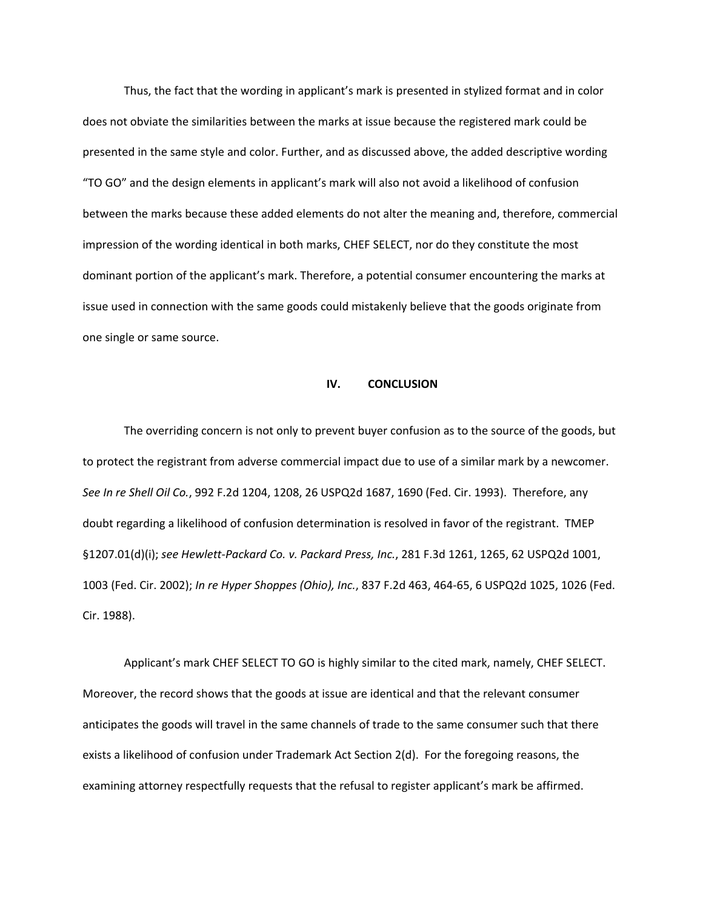Thus, the fact that the wording in applicant's mark is presented in stylized format and in color does not obviate the similarities between the marks at issue because the registered mark could be presented in the same style and color. Further, and as discussed above, the added descriptive wording "TO GO" and the design elements in applicant's mark will also not avoid a likelihood of confusion between the marks because these added elements do not alter the meaning and, therefore, commercial impression of the wording identical in both marks, CHEF SELECT, nor do they constitute the most dominant portion of the applicant's mark. Therefore, a potential consumer encountering the marks at issue used in connection with the same goods could mistakenly believe that the goods originate from one single or same source.

#### **IV. CONCLUSION**

 The overriding concern is not only to prevent buyer confusion as to the source of the goods, but to protect the registrant from adverse commercial impact due to use of a similar mark by a newcomer. *See In re Shell Oil Co.*, 992 F.2d 1204, 1208, 26 USPQ2d 1687, 1690 (Fed. Cir. 1993). Therefore, any doubt regarding a likelihood of confusion determination is resolved in favor of the registrant. TMEP §1207.01(d)(i); *see Hewlett-Packard Co. v. Packard Press, Inc.*, 281 F.3d 1261, 1265, 62 USPQ2d 1001, 1003 (Fed. Cir. 2002); *In re Hyper Shoppes (Ohio), Inc.*, 837 F.2d 463, 464-65, 6 USPQ2d 1025, 1026 (Fed. Cir. 1988).

 Applicant's mark CHEF SELECT TO GO is highly similar to the cited mark, namely, CHEF SELECT. Moreover, the record shows that the goods at issue are identical and that the relevant consumer anticipates the goods will travel in the same channels of trade to the same consumer such that there exists a likelihood of confusion under Trademark Act Section 2(d). For the foregoing reasons, the examining attorney respectfully requests that the refusal to register applicant's mark be affirmed.